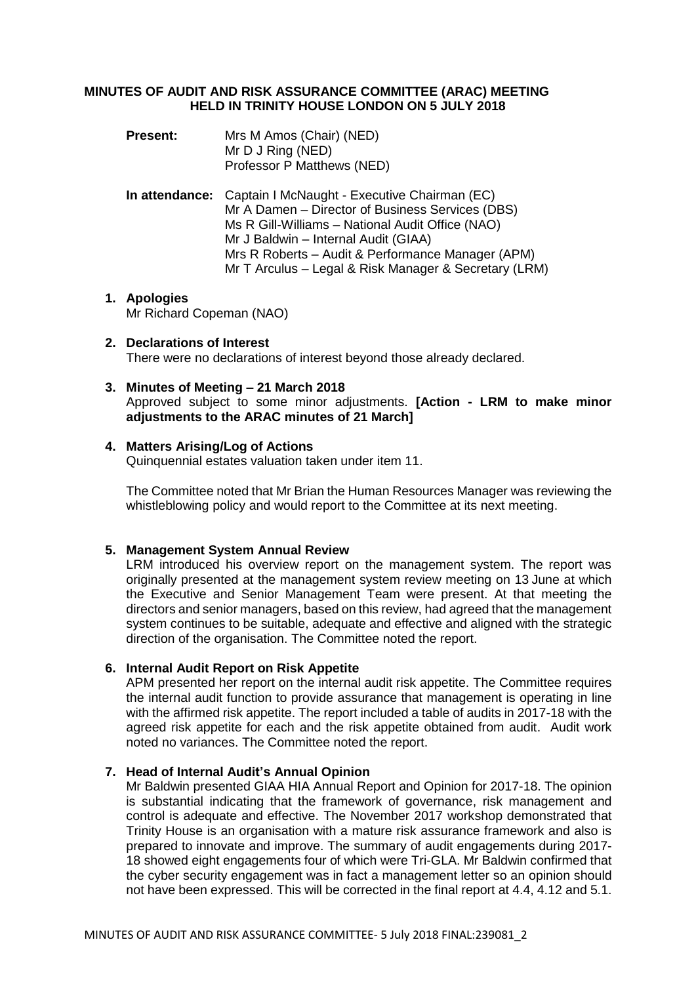### **MINUTES OF AUDIT AND RISK ASSURANCE COMMITTEE (ARAC) MEETING HELD IN TRINITY HOUSE LONDON ON 5 JULY 2018**

**Present:** Mrs M Amos (Chair) (NED) Mr D J Ring (NED) Professor P Matthews (NED)

**In attendance:** Captain I McNaught - Executive Chairman (EC) Mr A Damen – Director of Business Services (DBS) Ms R Gill-Williams – National Audit Office (NAO) Mr J Baldwin – Internal Audit (GIAA) Mrs R Roberts – Audit & Performance Manager (APM) Mr T Arculus – Legal & Risk Manager & Secretary (LRM)

#### **1. Apologies** Mr Richard Copeman (NAO)

# **2. Declarations of Interest**

There were no declarations of interest beyond those already declared.

### **3. Minutes of Meeting – 21 March 2018**

Approved subject to some minor adjustments. **[Action - LRM to make minor adjustments to the ARAC minutes of 21 March]**

## **4. Matters Arising/Log of Actions**

Quinquennial estates valuation taken under item 11.

The Committee noted that Mr Brian the Human Resources Manager was reviewing the whistleblowing policy and would report to the Committee at its next meeting.

# **5. Management System Annual Review**

LRM introduced his overview report on the management system. The report was originally presented at the management system review meeting on 13 June at which the Executive and Senior Management Team were present. At that meeting the directors and senior managers, based on this review, had agreed that the management system continues to be suitable, adequate and effective and aligned with the strategic direction of the organisation. The Committee noted the report.

### **6. Internal Audit Report on Risk Appetite**

APM presented her report on the internal audit risk appetite. The Committee requires the internal audit function to provide assurance that management is operating in line with the affirmed risk appetite. The report included a table of audits in 2017-18 with the agreed risk appetite for each and the risk appetite obtained from audit. Audit work noted no variances. The Committee noted the report.

# **7. Head of Internal Audit's Annual Opinion**

Mr Baldwin presented GIAA HIA Annual Report and Opinion for 2017-18. The opinion is substantial indicating that the framework of governance, risk management and control is adequate and effective. The November 2017 workshop demonstrated that Trinity House is an organisation with a mature risk assurance framework and also is prepared to innovate and improve. The summary of audit engagements during 2017- 18 showed eight engagements four of which were Tri-GLA. Mr Baldwin confirmed that the cyber security engagement was in fact a management letter so an opinion should not have been expressed. This will be corrected in the final report at 4.4, 4.12 and 5.1.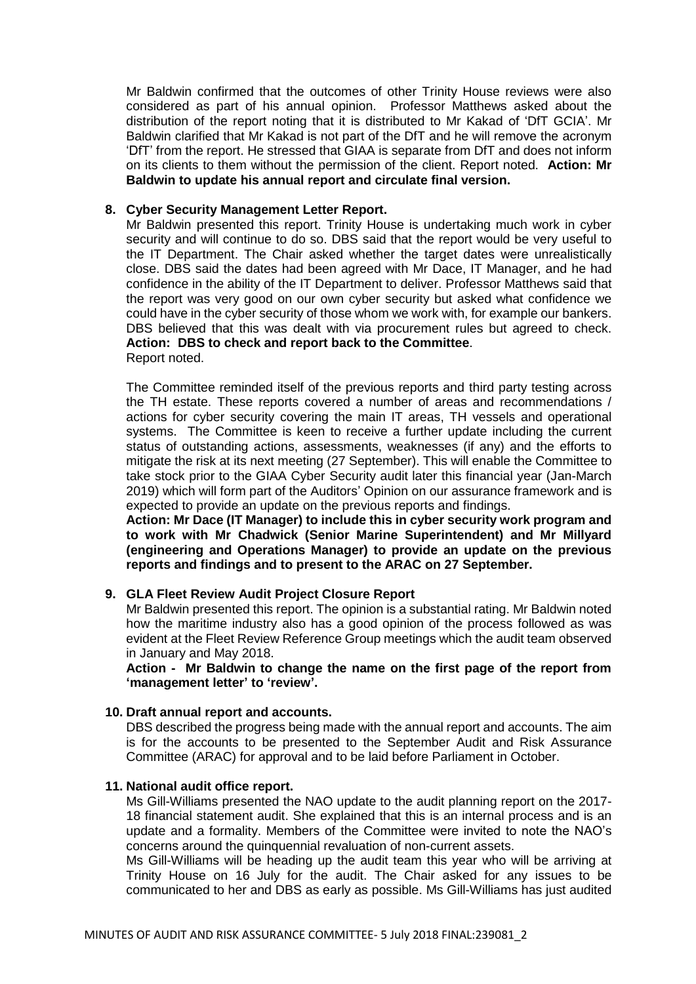Mr Baldwin confirmed that the outcomes of other Trinity House reviews were also considered as part of his annual opinion. Professor Matthews asked about the distribution of the report noting that it is distributed to Mr Kakad of 'DfT GCIA'. Mr Baldwin clarified that Mr Kakad is not part of the DfT and he will remove the acronym 'DfT' from the report. He stressed that GIAA is separate from DfT and does not inform on its clients to them without the permission of the client. Report noted. **Action: Mr Baldwin to update his annual report and circulate final version.**

### **8. Cyber Security Management Letter Report.**

Mr Baldwin presented this report. Trinity House is undertaking much work in cyber security and will continue to do so. DBS said that the report would be very useful to the IT Department. The Chair asked whether the target dates were unrealistically close. DBS said the dates had been agreed with Mr Dace, IT Manager, and he had confidence in the ability of the IT Department to deliver. Professor Matthews said that the report was very good on our own cyber security but asked what confidence we could have in the cyber security of those whom we work with, for example our bankers. DBS believed that this was dealt with via procurement rules but agreed to check. **Action: DBS to check and report back to the Committee**. Report noted.

The Committee reminded itself of the previous reports and third party testing across the TH estate. These reports covered a number of areas and recommendations / actions for cyber security covering the main IT areas, TH vessels and operational systems. The Committee is keen to receive a further update including the current status of outstanding actions, assessments, weaknesses (if any) and the efforts to mitigate the risk at its next meeting (27 September). This will enable the Committee to take stock prior to the GIAA Cyber Security audit later this financial year (Jan-March 2019) which will form part of the Auditors' Opinion on our assurance framework and is expected to provide an update on the previous reports and findings.

**Action: Mr Dace (IT Manager) to include this in cyber security work program and to work with Mr Chadwick (Senior Marine Superintendent) and Mr Millyard (engineering and Operations Manager) to provide an update on the previous reports and findings and to present to the ARAC on 27 September.**

### **9. GLA Fleet Review Audit Project Closure Report**

Mr Baldwin presented this report. The opinion is a substantial rating. Mr Baldwin noted how the maritime industry also has a good opinion of the process followed as was evident at the Fleet Review Reference Group meetings which the audit team observed in January and May 2018.

**Action - Mr Baldwin to change the name on the first page of the report from 'management letter' to 'review'.**

## **10. Draft annual report and accounts.**

DBS described the progress being made with the annual report and accounts. The aim is for the accounts to be presented to the September Audit and Risk Assurance Committee (ARAC) for approval and to be laid before Parliament in October.

### **11. National audit office report.**

Ms Gill-Williams presented the NAO update to the audit planning report on the 2017- 18 financial statement audit. She explained that this is an internal process and is an update and a formality. Members of the Committee were invited to note the NAO's concerns around the quinquennial revaluation of non-current assets.

Ms Gill-Williams will be heading up the audit team this year who will be arriving at Trinity House on 16 July for the audit. The Chair asked for any issues to be communicated to her and DBS as early as possible. Ms Gill-Williams has just audited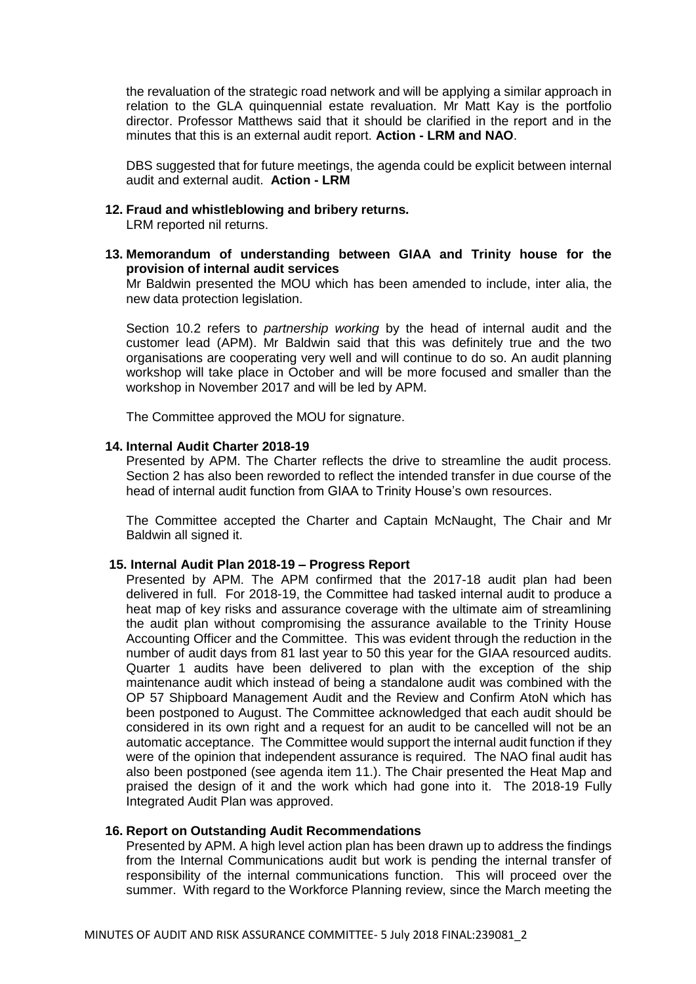the revaluation of the strategic road network and will be applying a similar approach in relation to the GLA quinquennial estate revaluation. Mr Matt Kay is the portfolio director. Professor Matthews said that it should be clarified in the report and in the minutes that this is an external audit report. **Action - LRM and NAO**.

DBS suggested that for future meetings, the agenda could be explicit between internal audit and external audit. **Action - LRM**

### **12. Fraud and whistleblowing and bribery returns.**

LRM reported nil returns.

**13. Memorandum of understanding between GIAA and Trinity house for the provision of internal audit services**

Mr Baldwin presented the MOU which has been amended to include, inter alia, the new data protection legislation.

Section 10.2 refers to *partnership working* by the head of internal audit and the customer lead (APM). Mr Baldwin said that this was definitely true and the two organisations are cooperating very well and will continue to do so. An audit planning workshop will take place in October and will be more focused and smaller than the workshop in November 2017 and will be led by APM.

The Committee approved the MOU for signature.

#### **14. Internal Audit Charter 2018-19**

Presented by APM. The Charter reflects the drive to streamline the audit process. Section 2 has also been reworded to reflect the intended transfer in due course of the head of internal audit function from GIAA to Trinity House's own resources.

The Committee accepted the Charter and Captain McNaught, The Chair and Mr Baldwin all signed it.

### **15. Internal Audit Plan 2018-19 – Progress Report**

Presented by APM. The APM confirmed that the 2017-18 audit plan had been delivered in full. For 2018-19, the Committee had tasked internal audit to produce a heat map of key risks and assurance coverage with the ultimate aim of streamlining the audit plan without compromising the assurance available to the Trinity House Accounting Officer and the Committee. This was evident through the reduction in the number of audit days from 81 last year to 50 this year for the GIAA resourced audits. Quarter 1 audits have been delivered to plan with the exception of the ship maintenance audit which instead of being a standalone audit was combined with the OP 57 Shipboard Management Audit and the Review and Confirm AtoN which has been postponed to August. The Committee acknowledged that each audit should be considered in its own right and a request for an audit to be cancelled will not be an automatic acceptance. The Committee would support the internal audit function if they were of the opinion that independent assurance is required. The NAO final audit has also been postponed (see agenda item 11.). The Chair presented the Heat Map and praised the design of it and the work which had gone into it. The 2018-19 Fully Integrated Audit Plan was approved.

### **16. Report on Outstanding Audit Recommendations**

Presented by APM. A high level action plan has been drawn up to address the findings from the Internal Communications audit but work is pending the internal transfer of responsibility of the internal communications function. This will proceed over the summer. With regard to the Workforce Planning review, since the March meeting the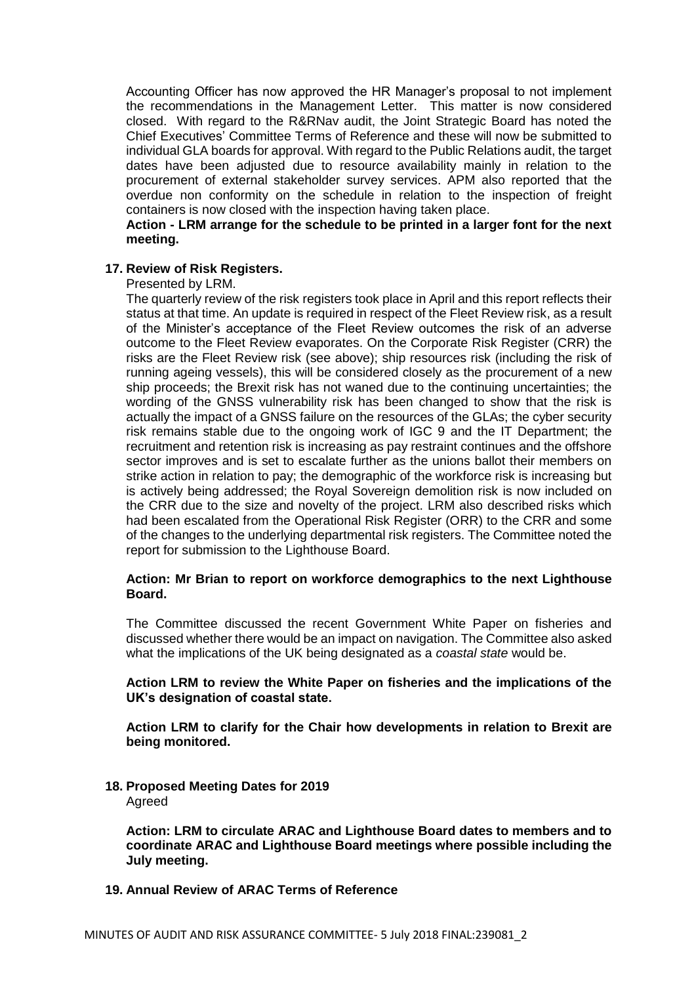Accounting Officer has now approved the HR Manager's proposal to not implement the recommendations in the Management Letter. This matter is now considered closed. With regard to the R&RNav audit, the Joint Strategic Board has noted the Chief Executives' Committee Terms of Reference and these will now be submitted to individual GLA boards for approval. With regard to the Public Relations audit, the target dates have been adjusted due to resource availability mainly in relation to the procurement of external stakeholder survey services. APM also reported that the overdue non conformity on the schedule in relation to the inspection of freight containers is now closed with the inspection having taken place.

## **Action - LRM arrange for the schedule to be printed in a larger font for the next meeting.**

### **17. Review of Risk Registers.**

#### Presented by LRM.

The quarterly review of the risk registers took place in April and this report reflects their status at that time. An update is required in respect of the Fleet Review risk, as a result of the Minister's acceptance of the Fleet Review outcomes the risk of an adverse outcome to the Fleet Review evaporates. On the Corporate Risk Register (CRR) the risks are the Fleet Review risk (see above); ship resources risk (including the risk of running ageing vessels), this will be considered closely as the procurement of a new ship proceeds; the Brexit risk has not waned due to the continuing uncertainties; the wording of the GNSS vulnerability risk has been changed to show that the risk is actually the impact of a GNSS failure on the resources of the GLAs; the cyber security risk remains stable due to the ongoing work of IGC 9 and the IT Department; the recruitment and retention risk is increasing as pay restraint continues and the offshore sector improves and is set to escalate further as the unions ballot their members on strike action in relation to pay; the demographic of the workforce risk is increasing but is actively being addressed; the Royal Sovereign demolition risk is now included on the CRR due to the size and novelty of the project. LRM also described risks which had been escalated from the Operational Risk Register (ORR) to the CRR and some of the changes to the underlying departmental risk registers. The Committee noted the report for submission to the Lighthouse Board.

### **Action: Mr Brian to report on workforce demographics to the next Lighthouse Board.**

The Committee discussed the recent Government White Paper on fisheries and discussed whether there would be an impact on navigation. The Committee also asked what the implications of the UK being designated as a *coastal state* would be.

### **Action LRM to review the White Paper on fisheries and the implications of the UK's designation of coastal state.**

**Action LRM to clarify for the Chair how developments in relation to Brexit are being monitored.**

### **18. Proposed Meeting Dates for 2019** Agreed

**Action: LRM to circulate ARAC and Lighthouse Board dates to members and to coordinate ARAC and Lighthouse Board meetings where possible including the July meeting.**

# **19. Annual Review of ARAC Terms of Reference**